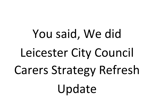You said, We did Leicester City Council Carers Strategy Refresh Update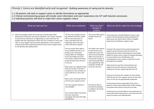## *Priority 1. Carers are identified early and recognised* - Building awareness of caring and its diversity

- 1.1 All partners will seek to support carers to identify themselves as appropriate
- 1.2 Clinical commissioning groups will include carer information and carer awareness into GP staff induction processes.
- 1.3 Individual partners will work to make their carers registers robust

| What we said we'd do                                                                                                                                                                                                                                                                                                                                                                                                                                                                  | What we've achieved                                                                                                                                                                                                                           | What we didn't<br>manage to<br>achieve                                                                                                                                                                                               | What we will do under the new strategy                                                                                                                                                                                                                                                                                                                                                          |
|---------------------------------------------------------------------------------------------------------------------------------------------------------------------------------------------------------------------------------------------------------------------------------------------------------------------------------------------------------------------------------------------------------------------------------------------------------------------------------------|-----------------------------------------------------------------------------------------------------------------------------------------------------------------------------------------------------------------------------------------------|--------------------------------------------------------------------------------------------------------------------------------------------------------------------------------------------------------------------------------------|-------------------------------------------------------------------------------------------------------------------------------------------------------------------------------------------------------------------------------------------------------------------------------------------------------------------------------------------------------------------------------------------------|
| 1.1 Staff and managers within the Social Care and Education (SCE)<br>department at Leicester City Council should be 'carer aware' and able<br>to promote the importance of registering as a carer with their GP,<br>familiar with the requirements of the Care Act in relation to carers and<br>refer to Carer Support Services where appropriate. A carer passport<br>scheme will be fully scoped with partners across LLR to support carers<br>to self-identify with professionals. | The City Carer Support Service<br>has worked with teams within<br>ASC to raise awareness of<br>carers and where this has<br>happened, there have been<br>more referrals for support                                                           | The service didn't get to<br>all adult social care<br>teams                                                                                                                                                                          | Carer awareness and identification remains a key<br>priority. Practice guidance will be developed for<br>adult social care teams which reflects strengths-<br>based ways of working to support carers                                                                                                                                                                                           |
|                                                                                                                                                                                                                                                                                                                                                                                                                                                                                       | The city council were able to<br>secure additional funds to co-<br>produce carer awareness<br>raising videos for colleagues<br>across the health and social<br>care system. Videos have been<br>produced with carers that live<br>in the city | The videos now need to<br>be shared across the<br>health and social care<br>system but particularly<br>within UHL and LPT to<br>increase the number of<br>carers being identified<br>and supported by staff<br>working in health and | Leicester City Council and its commissioned carer<br>support service will work with UHL and LPT to<br>disseminate the videos and develop an information<br>leaflet for family carers at point of hospital discharge<br>to ensure better carer identification and<br>consideration of carer needs on admission to and<br>discharge from hospital<br>Adult social care and the commissioned carer |
|                                                                                                                                                                                                                                                                                                                                                                                                                                                                                       | More carers are registered with<br>their GP, but this is still low in<br>comparison to the numbers of<br>carers that live or care in the                                                                                                      | social care services                                                                                                                                                                                                                 | support service will continue to promote the<br>importance of carers registering with their GP                                                                                                                                                                                                                                                                                                  |
|                                                                                                                                                                                                                                                                                                                                                                                                                                                                                       | city<br>More carers are being referred<br>into the carer support service                                                                                                                                                                      |                                                                                                                                                                                                                                      | Continue to increase the numbers of carers being<br>referred into the carer support service so that more<br>carers in the city are appropriately supported                                                                                                                                                                                                                                      |
|                                                                                                                                                                                                                                                                                                                                                                                                                                                                                       | LLR carer passport scheme is<br>now available                                                                                                                                                                                                 | We weren't able to<br>promote the passport<br>as widely as we would<br>have liked                                                                                                                                                    | Continued promotion and growth of the carer's<br>passport scheme particularly within health settings -<br>more good news stories of how this can help<br>Continued use of social media to raise awareness of                                                                                                                                                                                    |
|                                                                                                                                                                                                                                                                                                                                                                                                                                                                                       | Use of social media to promote<br>key carer awareness<br>messaging. We know this helps<br>identification                                                                                                                                      |                                                                                                                                                                                                                                      | caring, particularly young carers as we have seen this<br>work to increase carer identification                                                                                                                                                                                                                                                                                                 |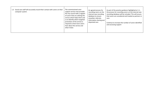| The commissioned carer<br>Social care staff will accurately record their contact with carers on their<br>1.3<br>support service now provides<br>computer system.<br>the city council with a register<br>of carers that are utilising the<br>service which helps them and<br>us to identify where targeted<br>promotion of the service is<br>required so that more carers<br>hear about the service and<br>what it does | An agreed process for<br>recording carers on the<br>internal case recording<br>database to ensure<br>smoother referrals,<br>information sharing and<br>disjointed care | As part of the practice guidance highlighted at 1.1,<br>the process for recording carers on the internal case<br>recording database will be included. This will ensure<br>that carers are considered and treated as partners in<br>care<br>Continue to increase the number of carers identified<br>and accessing support |
|------------------------------------------------------------------------------------------------------------------------------------------------------------------------------------------------------------------------------------------------------------------------------------------------------------------------------------------------------------------------------------------------------------------------|------------------------------------------------------------------------------------------------------------------------------------------------------------------------|--------------------------------------------------------------------------------------------------------------------------------------------------------------------------------------------------------------------------------------------------------------------------------------------------------------------------|
|------------------------------------------------------------------------------------------------------------------------------------------------------------------------------------------------------------------------------------------------------------------------------------------------------------------------------------------------------------------------------------------------------------------------|------------------------------------------------------------------------------------------------------------------------------------------------------------------------|--------------------------------------------------------------------------------------------------------------------------------------------------------------------------------------------------------------------------------------------------------------------------------------------------------------------------|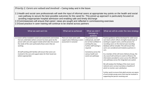*Priority 2. Carers are valued and involved* – Caring today and in the future

- 2.1Health and social care professionals will seek the input of informal carers at appropriate key points on the health and social care pathway to secure the best possible outcomes for the cared for. This joined up approach is particularly focused on avoiding inappropriate hospital admission and enabling safe and timely discharge
- 2.2Commissioners will ensure that carers' views are sought and reflected in commissioning exercises
- 2.3Good practice in carer training will continue to be shared across partners

| What we said we'd do                                                                                                                                                                                                                                                   | What we've achieved                                                                       | What we didn't<br>manage to<br>achieve                                                                                                  | What we will do under the new strategy                                                                                                                                                                                                                                                                                                                                                                                                                                                                                 |
|------------------------------------------------------------------------------------------------------------------------------------------------------------------------------------------------------------------------------------------------------------------------|-------------------------------------------------------------------------------------------|-----------------------------------------------------------------------------------------------------------------------------------------|------------------------------------------------------------------------------------------------------------------------------------------------------------------------------------------------------------------------------------------------------------------------------------------------------------------------------------------------------------------------------------------------------------------------------------------------------------------------------------------------------------------------|
| 2.1 Carers will be included in social care assessments and reviews<br>that are undertaken (where consent has been given by the<br>person with care and support needs) which take into account<br>the needs of the carer particularly those carers that are<br>working. | There are more carers with<br>support plans following a carers<br>assessment in Leicester | This practice is not<br>widespread, and staff<br>do not feel confident in<br>working this way.<br>Further staff training is<br>required | Practice guidance will be developed for adult social<br>care teams which reflects strengths-based ways of<br>working to support carers, and the process for<br>recording carers on the internal case recording<br>database will be included. This will ensure that<br>carers are considered and treated as partners in<br>care.                                                                                                                                                                                        |
| All staff working with families will ensure that carers are<br>involved in the care and support plans for their loved one<br>(where appropriate)                                                                                                                       |                                                                                           | Consistency across the<br>various health and<br>social care pathways                                                                    | As a member of the LLR Carers Delivery Group, the<br>city council will continue to seek to influence the<br>information provided to carers across the different<br>care pathways across the integrated care system<br>We will analyse the findings of the most recent<br>national carers survey to produce a baseline of<br>which to monitor carer satisfaction<br>Further work to ensure that adult services are aware<br>of and include young carers that may be involved in<br>supporting the person receiving care |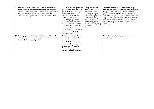| Commissioners will ensure there is a replacement carers<br>$2.2^{\circ}$<br>reference group {name to be determined} that meets at<br>regular points throughout the year for carers to join, where<br>they can contribute their views on the work of the<br>commissioning department in Social Care and Education | The city council managed to set<br>up the Carers Got Talent (CGT)<br>group which met a few days<br>before the first national<br>lockdown associated with<br>COVID-19. Since then, the<br>circulation group has been used<br>to communicate with carers,<br>but no further meetings have<br>taken place. We know that<br>engaging with carers is<br>important and need to consider | The group only met<br>once as there was no<br>appetite for virtual<br>meetings during the<br>pandemic. Engagement<br>with carers is being<br>considered system wide<br>and an engagement<br>event is currently being<br>planned for 28 June. | The city council has since signed up to Making It<br>Real, and a Making it Real group is in the process of<br>being developed. Carers are represented on this<br>group and therefore further work is required to<br>ensure how this group might link in with wider carer<br>engagement. Development of a 'You said, We did'<br>approach showing that carer voices influence and<br>shape the design and delivery of our services must<br>continue. |
|------------------------------------------------------------------------------------------------------------------------------------------------------------------------------------------------------------------------------------------------------------------------------------------------------------------|-----------------------------------------------------------------------------------------------------------------------------------------------------------------------------------------------------------------------------------------------------------------------------------------------------------------------------------------------------------------------------------|----------------------------------------------------------------------------------------------------------------------------------------------------------------------------------------------------------------------------------------------|----------------------------------------------------------------------------------------------------------------------------------------------------------------------------------------------------------------------------------------------------------------------------------------------------------------------------------------------------------------------------------------------------------------------------------------------------|
| 2.3 Learning opportunities for carers that are provided by the<br>carer support services will be reviewed regularly to ensure<br>they are in line with best practice.                                                                                                                                            | what this should look like<br>moving forward.<br>These are currently reviewed<br>on a quarterly basis and the<br>programme is amended<br>accordingly. The content of<br>these have also been adapted<br>based on carer feedback.<br>Carers tell us that these<br>sessions are helpful to them.                                                                                    |                                                                                                                                                                                                                                              | This will continue to be a priority under the<br>refreshed strategy                                                                                                                                                                                                                                                                                                                                                                                |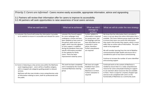*Priority 3. Carers are informed -* Carers receive easily accessible, appropriate information, advice and signposting

3.1 Partners will review their information offer for carers to improve its accessibility 3.2 All partners will seek opportunities to raise awareness of local carers services

| What we said we'd do                                                                                                                                                                                                                                                                                                                                   | What we've achieved                                                                                                                                                                                                                                                                                                                                                                     | What we didn't<br>manage to<br>achieve                                                                                                                                                                   | What we will do under the new strategy                                                                                                                                                                                                                                                                                                                                                                                                                                                                                                                                                                            |
|--------------------------------------------------------------------------------------------------------------------------------------------------------------------------------------------------------------------------------------------------------------------------------------------------------------------------------------------------------|-----------------------------------------------------------------------------------------------------------------------------------------------------------------------------------------------------------------------------------------------------------------------------------------------------------------------------------------------------------------------------------------|----------------------------------------------------------------------------------------------------------------------------------------------------------------------------------------------------------|-------------------------------------------------------------------------------------------------------------------------------------------------------------------------------------------------------------------------------------------------------------------------------------------------------------------------------------------------------------------------------------------------------------------------------------------------------------------------------------------------------------------------------------------------------------------------------------------------------------------|
| 3.1 Leicester City Council will review the information it provides<br>on its website to ensure it is accessible and relevant for carers.                                                                                                                                                                                                               | Leicester City Council support<br>for carers webpages have<br>undergone a review and have<br>been updated as have some of<br>the generic adult social care<br>pages, which now also signpost<br>to carer support. In addition,<br>during the pandemic there was<br>specific information provided<br>on the website for family<br>carers. There has been<br>improvement noted by carers. | Further updates to<br>information is required<br>for young carers, and<br>the language used has<br>been described as too<br>corporate in some<br>places, therefore<br>further amendments<br>are required | We know that the information that is provided to<br>carers is not just about the online information that is<br>available. The Carers Delivery group needs to be able<br>to ensure that carers can access the information<br>they need in the formats they require, which is much<br>wider than an online suite of information. This work<br>needs to be progressed<br>We will consider learning from the trial of Mobilise<br>commissioned by Public Health and ensure this is<br>considered as part of any future commissioning<br>Continue to increase the number of carers identified<br>and accessing support |
| 3.2 Carers is featuring as a key service area within the MyChoice<br>asset mapping project - carers will be a headline category,<br>with re-mapped sub-categories guiding people to relevant<br>services.<br>MyChoice will also now include a more comprehensive suite<br>of information relating to carers, both for professionals and<br>the public. | This work has been completed<br>and is reviewed by the recently<br>convened MyChoice steering<br>group                                                                                                                                                                                                                                                                                  | We have not sought<br>feedback from carers<br>on how useful<br>MyChoice is to them.<br>Further evaluation is<br>required                                                                                 | Continued work on the content of MyChoice is<br>needed to ensure that it is a really comprehensive<br>resource for carers and people drawing on support<br>to use and learn about resources that are available<br>to them. There is scope for a mystery shopper type<br>exercise to be completed with carers on the<br>functionality of MyChoice as a community asset.                                                                                                                                                                                                                                            |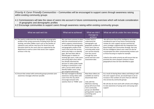*Priority 4. Carer Friendly Communities –* Communities will be encouraged to support carers through awareness raising within existing community groups

- 4.1 Commissioners will take the views of carers into account in future commissioning exercises which will include consideration of geographic and demographic profiles
- 4.2 Encourage communities to support carers through awareness raising within existing community groups

| What we said we'd do                                                                                                                                                                                                                                                                                                                                                                       | What we've achieved                                                                                                                                                                                                                                                                                                                                                                                                                                                                                                                                                     | What we didn't<br>manage to<br>achieve                                                                                                                                                                                                           | What we will do under the new strategy                                                                                                                                                                                                                                                                                                                                                                                                                                                                                                                                               |
|--------------------------------------------------------------------------------------------------------------------------------------------------------------------------------------------------------------------------------------------------------------------------------------------------------------------------------------------------------------------------------------------|-------------------------------------------------------------------------------------------------------------------------------------------------------------------------------------------------------------------------------------------------------------------------------------------------------------------------------------------------------------------------------------------------------------------------------------------------------------------------------------------------------------------------------------------------------------------------|--------------------------------------------------------------------------------------------------------------------------------------------------------------------------------------------------------------------------------------------------|--------------------------------------------------------------------------------------------------------------------------------------------------------------------------------------------------------------------------------------------------------------------------------------------------------------------------------------------------------------------------------------------------------------------------------------------------------------------------------------------------------------------------------------------------------------------------------------|
| 4.1 The need to understand the demographic and geographic<br>profiles of the caring community including those that are<br>working, and other hidden carers such as the families of<br>substance users will be a key focus for Social Care and<br>Education both for the carers that are supported by the<br>department as well as carers that access carer support<br>services in the city | We now have a process in place<br>with the commissioned service<br>which supports commissioners<br>to understand the demographic<br>and geographic profile of the<br>carers that access the service,<br>which also helps us to identify<br>gaps. We have been able to<br>identify gaps in relation to<br>working age carers, male carers<br>and young adult carers which<br>has already informed the<br>decision to utilise public health<br>funding to commission a trial<br>with a service which seeks to<br>identify hidden carers using<br>geo-targeted advertising | Further work to<br>understand the<br>demographic and<br>geographic profiles of<br>those carers that are<br>accessing adult social<br>care services directly<br>from the council<br>through the carer<br>portal and from carer<br>assessment data | We will ensure that all the intelligence we hold is<br>considered as part of any future commissioning<br>reviews for carer support services and that the<br>carers strategy is aligned with the Integrated Care<br>Board People and Communities Strategy. Not only<br>this but intelligence about carer need can also be<br>incorporated into other commissioning reviews such<br>as those focusing on respite for example.<br>Linked to the earlier priority we will ensure that we<br>promote the carers passport scheme in those<br>geographical areas we have identified as gaps |
| 4.2 Ensure that contact with community groups promote carer<br>awareness messages wherever possible                                                                                                                                                                                                                                                                                        | We have managed to develop<br>awareness raising videos with<br>carers from the city which<br>encourage everyone who<br>watches them to 'THINK' carer                                                                                                                                                                                                                                                                                                                                                                                                                    | Now these videos are<br>available we need to<br>disseminate them<br>Links with the<br>MyChoice steering<br>group will ensure that<br>more community<br>groups are identified<br>giving greater scope for<br>promoting carer<br>awareness         | As a result of sharing these videos and linking in with<br>the carer support service, we would hope to see an<br>increase in the numbers of carers that are referred<br>into services by community groups<br>We will also do more work with schools and colleges<br>to raise awareness of young carers and young carer<br>support                                                                                                                                                                                                                                                    |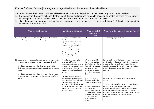*Priority 5. Carers have a life alongside caring –* Health, employment and financial wellbeing

- 5.1 As employers themselves, partners will review their carer friendly policies and aim to set a good example to others
- 5.2 The assessment process will consider the use of flexible and responsive respite provision to enable carers to have a break, including short breaks to families with a child with Special Educational Needs and Disability
- 5.3 Clinical commissioning groups will continue to encourage carers to take up screening invitations, NHS health checks and flu vaccinations where relevant

| What we said we'd do                                                                                                                                                                                                                                                                                                                                                                                         | What we've achieved                                                                                                                                                                                                                                                                                                | What we didn't<br>manage to<br>achieve                                                                                                                                                                                                              | What we will do under the new strategy                                                                                                                                                                                                                                                                                                                                                         |
|--------------------------------------------------------------------------------------------------------------------------------------------------------------------------------------------------------------------------------------------------------------------------------------------------------------------------------------------------------------------------------------------------------------|--------------------------------------------------------------------------------------------------------------------------------------------------------------------------------------------------------------------------------------------------------------------------------------------------------------------|-----------------------------------------------------------------------------------------------------------------------------------------------------------------------------------------------------------------------------------------------------|------------------------------------------------------------------------------------------------------------------------------------------------------------------------------------------------------------------------------------------------------------------------------------------------------------------------------------------------------------------------------------------------|
| 5.1 Leicester City Council will continue to support staff who are<br>carers through its policies and staff carer group                                                                                                                                                                                                                                                                                       | These continue to be in place.<br>Staff that are carers are<br>regularly communicated with<br>about carer issues through the<br>staff support group and have<br>been told about the various<br>opportunities for support<br>during the pandemic such as<br>the carer passport, PPE<br>information and vaccination. | n/a                                                                                                                                                                                                                                                 | This is an ongoing area of work                                                                                                                                                                                                                                                                                                                                                                |
| 5.2 Enable carers to access respite or short breaks as appropriate<br>when the council needs to seek their views on their work<br>Social Care and Education will undertake a review of its<br>flexible short break service to ensure it considers the needs of<br>carers<br>Social Care and Education will work with the voluntary sector<br>to create a range of traditional and alternative types of carer | A reimbursement policy has<br>been created for the<br>commissioning team to be able<br>to reimburse replacement care<br>which has been utilised by<br>carers who have helped us with<br>our work<br>We have managed to secure                                                                                      | We need to consider<br>how we can replicate<br>this for the work that is<br>happening to develop<br>the Making it Real<br>group to ensure carers<br>are able to participate<br>fully                                                                | Further work with public health to ensure that carers<br>are linked in with health and wellbeing information<br>and advice. Further work to ensure that the city<br>council's action plan is aligned with the Health, Care<br>and Wellbeing delivery plan for the city will be<br>required.                                                                                                    |
| breaks                                                                                                                                                                                                                                                                                                                                                                                                       | funding from Public Health to<br>work with Carefree, a voluntary<br>sector organisation that<br>partners with hotel and holiday<br>cottage providers to utilise void<br>capacity for carers to access<br>free carer breaks                                                                                         | The review of the<br>flexible short breaks<br>service is still underway<br>The work with Carefree<br>now needs more<br>through promotion in<br>order to ensure that we<br>maximise the number<br>of carers that will<br>benefit from this<br>scheme | Conclude the review of the flexible short breaks<br>service<br>The negative impact of caring on the mental health<br>of carers has been a consistent message from<br>engagement and therefore robust links with work<br>happening across the Integrated Care system in<br>relation to mental health will be essential in order to<br>ensure the specific needs of carers are not<br>overlooked |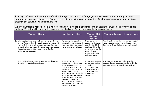*Priority 6. Carers and the impact of technology products and the living space –* We will work with housing and other organisations to ensure the needs of carers are considered in terms of the provision of technology, equipment or adaptations that may assist a carer with their caring role

6.1 The partnership will seek to involve professionals from housing, equipment and adaptations in work to improve the carers pathway. This should include raising awareness of the issues facing carers within those organisations

| What we said we'd do                                                                                                                                                                                                                                                                                                                                           | What we've achieved                                                                                                                                                                                                                                                                                                                                                                                                               | What we didn't<br>manage to<br>achieve                                                                                                                                                          | What we will do under the new strategy                                                                                                                          |
|----------------------------------------------------------------------------------------------------------------------------------------------------------------------------------------------------------------------------------------------------------------------------------------------------------------------------------------------------------------|-----------------------------------------------------------------------------------------------------------------------------------------------------------------------------------------------------------------------------------------------------------------------------------------------------------------------------------------------------------------------------------------------------------------------------------|-------------------------------------------------------------------------------------------------------------------------------------------------------------------------------------------------|-----------------------------------------------------------------------------------------------------------------------------------------------------------------|
| 6.1 Within adult social care, work will take place to consider the<br>pathway for carers through the various social care teams. This<br>work will include steps to improve the journey and ensure<br>appropriate links are made with the relevant professionals so<br>that best use is made of the support that can be offered by<br>equipment and adaptations | Slow progression with this but<br>conversations with contact and<br>response and the carer support<br>service have started to happen                                                                                                                                                                                                                                                                                              | This work has been<br>delayed significantly as<br>a result of the COVID<br>pandemic. This will be<br>picked up as part of the<br>work to develop<br>practice guidance for<br>social care teams. | We will work with early help services to ensure that<br>young carers that are in transition between early<br>help and services and adult services are improved. |
| Carers will be a key consideration within the Social Care and<br><b>Education Assistive Technology Strategy</b>                                                                                                                                                                                                                                                | Carers continue to be a key<br>consideration within the Social<br>Care and Education Assistive<br>Technology Strategy, but this<br>remains an area where carers<br>are not fully informed to be<br>able to understand the benefits<br>of technology and the positive<br>impact this could have on their<br>caring role. Staff from our<br>assistive technology teams are<br>promoting their work at Carers<br>Week events in 2022 | We also need to ensure<br>that more robust links<br>are made with<br>professionals from<br>housing, equipment<br>and adaptations to<br>improve carer<br>experience                              | Ensure that carers are informed of technology<br>solutions that can support them and to enable them<br>to be confident with using technology/gadgets            |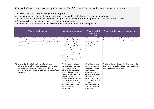*Priority 7. Carers can access the right support at the right time - Services and systems that work for carers* 

7.1 Assessments will take a strength-based approach

7.2 Each partner will look at its carer's pathway to reduce the potential for a disjointed approach

7.3 Opportunities for closer working between agencies will be considered at appropriate points in service reviews

7.4 People will be signposted to sources of support post-caring

7.5 Recognise and address the difficulties for parent carers during transition periods

| What we said we'd do                                                                                                                                                                                                                                                                          | What we've achieved                                                                                                                                                                                                                                                                                                                                                                     | What we didn't<br>manage to<br>achieve                                                                                                                                                                                                                                                            | What we will do under the new strategy                                                                                                         |
|-----------------------------------------------------------------------------------------------------------------------------------------------------------------------------------------------------------------------------------------------------------------------------------------------|-----------------------------------------------------------------------------------------------------------------------------------------------------------------------------------------------------------------------------------------------------------------------------------------------------------------------------------------------------------------------------------------|---------------------------------------------------------------------------------------------------------------------------------------------------------------------------------------------------------------------------------------------------------------------------------------------------|------------------------------------------------------------------------------------------------------------------------------------------------|
| 7.1 Staff across social care that work directly with families will<br>work in a collaborative way with them, recognise that they are<br>experts in their own lives and ensure their practice is reflective<br>of the strength-based practice principles in their interactions<br>with carers. | Carers are being identified as<br>part of the department's<br>commitment to strengths-<br>based ways of working and as<br>part of its training for staff on<br>outcome and support<br>sequencing. We have provided<br>awareness raising sessions to<br>voluntary sector organisations<br>that support carers to ensure<br>that carers understand what<br>strengths-based principles are | This will all need to be<br>cemented in the<br>practice guidance that<br>is outstanding and has<br>been referred to<br>previously in this<br>document                                                                                                                                             | Produce carer practice guidance which incorporates<br>the need to support carers to plan for emergencies                                       |
| 7.2 Leicester City Council will work with other Leicester,<br>Leicestershire & Rutland partners, particularly the Leicester<br>City Clinical Commissioning Group to ensure that the<br>pathways for carers within organisations are aligned as far as<br>is possible.                         | The city council has been<br>integral in ensuring that the<br>work of the Leicester,<br>Leicestershire and Rutland<br>Carers Delivery group is<br>recognised in the transition<br>towards becoming an<br>integrated care system. Carers'<br>work will be featured in the<br>strategic work of the Home-<br>first Collaborative to ensure<br>that carers are a key<br>consideration      | Whilst these changes<br>have been occurring<br>strategically this now<br>needs to apply<br>operationally. Carers<br>will need to cut across<br>all aspects of<br>transformation and<br>integration which will<br>require a firm<br>commitment from all<br>health and social care<br>organisations | The Carers Delivery Group will seek to influence the<br>information provided to carers around the differing<br>care pathways across the system |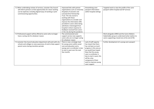| 7.3 When undertaking reviews of services, Leicester City Council<br>will inform partners so that opportunities for closer working<br>can be explored, including aligned ways of working or joint<br>commissioning opportunities. | Improved links with partner<br>organisations such as University<br>Hospitals of Leicester and<br>Leicestershire Partnership<br>Trust. The city council is<br>working with these<br>organisations to consider and<br>improve the information offer<br>provided to carers when being<br>admitted or discharged from<br>hospital in direct response to<br>feedback received from carers<br>in the city during the pandemic | Streamlining carer<br>passport information<br>within hospital settings                                                                                                                                                                                                                   | Targeted work to raise the profile of the carer<br>passport within hospital and GP services                                                        |
|----------------------------------------------------------------------------------------------------------------------------------------------------------------------------------------------------------------------------------|-------------------------------------------------------------------------------------------------------------------------------------------------------------------------------------------------------------------------------------------------------------------------------------------------------------------------------------------------------------------------------------------------------------------------|------------------------------------------------------------------------------------------------------------------------------------------------------------------------------------------------------------------------------------------------------------------------------------------|----------------------------------------------------------------------------------------------------------------------------------------------------|
| 7.4 Professional support will be offered to carers who no longer<br>have a caring role for whatever reason.                                                                                                                      | The commissioned carer<br>support service now supports<br>carers who are no longer caring<br>for whatever reason                                                                                                                                                                                                                                                                                                        |                                                                                                                                                                                                                                                                                          | Work alongside LOROS and the Carers Matters<br>Stakeholder group to understand what matters to<br>carers supporting a loved one at the end of life |
| 7.5 Leicester City Council education department will work with city<br>schools and colleges to raise awareness of and to help support<br>parent carers during transition periods                                                 | There is now a strategic lead<br>for young carers within social<br>care and education and a<br>young carer co-ordinator is due<br>to start in post over the next<br>few months                                                                                                                                                                                                                                          | Lack of staff capacity<br>has meant that there<br>has not been as much<br>progress in this area as<br>we would have hoped.<br>Now that the young<br>carer co-ordinator is<br>due to start in post, this<br>will be a key<br>component of their<br>work to improve young<br>carer support | Further development of a young carer passport                                                                                                      |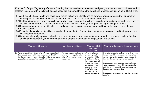| Priority 8. Supporting Young Carers – Ensuring that the needs of young carers and young adult carers are considered and<br>that families/carers with a child with special needs are supported through the transitions process, as this can be a difficult time.                                                                                                                                                                                                                                                                                                                                                                                                                                                                                                                                                                                                                                                                                                                                                           |                                                                                                                   |                                                                                                                                                                                                                                                           |                                                                                                                                                                                                                                                                                                                                                                                                                                                                                   |  |  |  |
|---------------------------------------------------------------------------------------------------------------------------------------------------------------------------------------------------------------------------------------------------------------------------------------------------------------------------------------------------------------------------------------------------------------------------------------------------------------------------------------------------------------------------------------------------------------------------------------------------------------------------------------------------------------------------------------------------------------------------------------------------------------------------------------------------------------------------------------------------------------------------------------------------------------------------------------------------------------------------------------------------------------------------|-------------------------------------------------------------------------------------------------------------------|-----------------------------------------------------------------------------------------------------------------------------------------------------------------------------------------------------------------------------------------------------------|-----------------------------------------------------------------------------------------------------------------------------------------------------------------------------------------------------------------------------------------------------------------------------------------------------------------------------------------------------------------------------------------------------------------------------------------------------------------------------------|--|--|--|
| 8.1 Adult and children's health and social care teams will work to identify and be aware of young carers and will ensure that<br>planning and assessment processes consider how the adult's care needs impact on them<br>8.2 Health and social care processes will take a whole family approach which may include referrals being made to early help or<br>specialist commissioned services for a statutory assessment of need, and/or providing signposting information<br>8.3 Recognise and address the difficulties around accessing education, employment and training for young carers during<br>transition periods<br>8.4 Educational establishments will acknowledge they may be the first point of contact for young carers and their parents, and<br>can respond appropriately<br>8.5 Using a whole family approach, develop and promote transition assessments for young adult carers approaching 18, that<br>identify and support the young carers that wish to engage with education, employment and training |                                                                                                                   |                                                                                                                                                                                                                                                           |                                                                                                                                                                                                                                                                                                                                                                                                                                                                                   |  |  |  |
| What we said we'd do                                                                                                                                                                                                                                                                                                                                                                                                                                                                                                                                                                                                                                                                                                                                                                                                                                                                                                                                                                                                      | What we've achieved<br>What we will do under the new strategy<br>What we didn't<br>manage to<br>achieve           |                                                                                                                                                                                                                                                           |                                                                                                                                                                                                                                                                                                                                                                                                                                                                                   |  |  |  |
| 8.1 To make robust links between children's social care and early<br>help teams to ensure adult social care teams can identify<br>families and respond appropriately where children and young<br>people have caring roles for an adult family member                                                                                                                                                                                                                                                                                                                                                                                                                                                                                                                                                                                                                                                                                                                                                                      | We have made robust links and<br>now have a strategic link within<br>children's services for young<br>carers work | We need to have a<br>process in place for<br>ensuring that children<br>and adult social care<br>have access to shared<br>information where<br>children and young<br>people have been<br>identified to ensure<br>they are receiving<br>appropriate support | Ensure the process for working with families where<br>there are identified young carers is reflected in the<br>carer practice guidance so that young carers and<br>their families are receiving the right support<br>Develop young carer support that acknowledges<br>young carers miss out on childhood and other key<br>activities as well as providing appropriate mental<br>health support where required<br>Develop support for young carers that are under the<br>age of 11 |  |  |  |